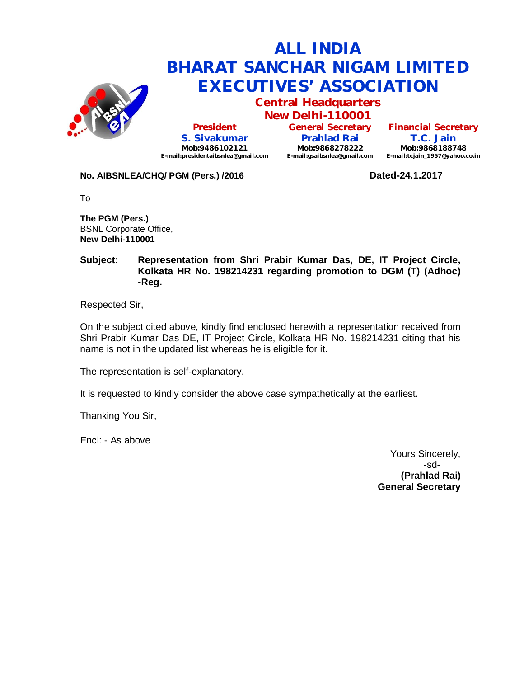

**Central Headquarters**

**President S. Sivakumar Mob:9486102121 E-mail:presidentaibsnlea@gmail.com**

**New Delhi-110001 General Secretary Prahlad Rai Mob:9868278222 E-mail:gsaibsnlea@gmail.com**

**Financial Secretary T.C. Jain Mob:9868188748**

**E-mail:tcjain\_1957@yahoo.co.in**

## **No. AIBSNLEA/CHQ/ PGM (Pers.) /2016 Dated-24.1.2017**

To

**The PGM (Pers.)** BSNL Corporate Office, **New Delhi-110001** 

### **Subject: Representation from Shri Prabir Kumar Das, DE, IT Project Circle, Kolkata HR No. 198214231 regarding promotion to DGM (T) (Adhoc) -Reg.**

Respected Sir,

On the subject cited above, kindly find enclosed herewith a representation received from Shri Prabir Kumar Das DE, IT Project Circle, Kolkata HR No. 198214231 citing that his name is not in the updated list whereas he is eligible for it.

The representation is self-explanatory.

It is requested to kindly consider the above case sympathetically at the earliest.

Thanking You Sir,

Encl: - As above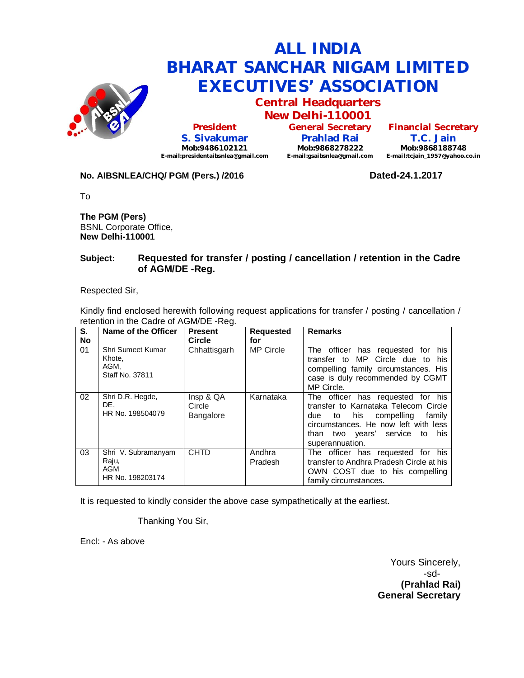

**Central Headquarters New Delhi-110001**

**President S. Sivakumar Mob:9486102121 E-mail:presidentaibsnlea@gmail.com**

**General Secretary Prahlad Rai Mob:9868278222 E-mail:gsaibsnlea@gmail.com E-mail:tcjain\_1957@yahoo.co.in**

**Financial Secretary T.C. Jain Mob:9868188748**

#### **No. AIBSNLEA/CHQ/ PGM (Pers.) /2016 Dated-24.1.2017**

To

**The PGM (Pers)** BSNL Corporate Office, **New Delhi-110001** 

#### **Subject: Requested for transfer / posting / cancellation / retention in the Cadre of AGM/DE -Reg.**

Respected Sir,

Kindly find enclosed herewith following request applications for transfer / posting / cancellation / retention in the Cadre of AGM/DE -Reg.

| S.<br><b>No</b> | Name of the Officer                                     | <b>Present</b><br><b>Circle</b>         | <b>Requested</b><br>for | <b>Remarks</b>                                                                                                                                                                                                |
|-----------------|---------------------------------------------------------|-----------------------------------------|-------------------------|---------------------------------------------------------------------------------------------------------------------------------------------------------------------------------------------------------------|
| 01              | Shri Sumeet Kumar<br>Khote,<br>AGM.<br>Staff No. 37811  | Chhattisgarh                            | <b>MP Circle</b>        | The officer has requested for his<br>transfer to MP Circle due to<br>his<br>compelling family circumstances. His<br>case is duly recommended by CGMT<br>MP Circle.                                            |
| 02              | Shri D.R. Hegde,<br>DE.<br>HR No. 198504079             | Insp & QA<br>Circle<br><b>Bangalore</b> | Karnataka               | The officer has requested for his<br>transfer to Karnataka Telecom Circle<br>due to his compelling<br>family<br>circumstances. He now left with less<br>than two years' service to<br>his.<br>superannuation. |
| 03              | Shri V. Subramanyam<br>Raju,<br>AGM<br>HR No. 198203174 | <b>CHTD</b>                             | Andhra<br>Pradesh       | The officer has requested for his<br>transfer to Andhra Pradesh Circle at his<br>OWN COST due to his compelling<br>family circumstances.                                                                      |

It is requested to kindly consider the above case sympathetically at the earliest.

Thanking You Sir,

Encl: - As above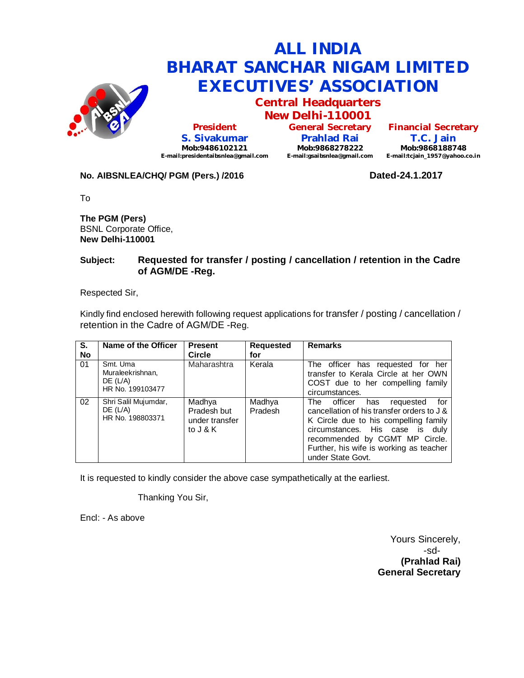

**Central Headquarters New Delhi-110001**

**President S. Sivakumar Mob:9486102121 E-mail:presidentaibsnlea@gmail.com**

**General Secretary Prahlad Rai Mob:9868278222 E-mail:gsaibsnlea@gmail.com E-mail:tcjain\_1957@yahoo.co.in**

**Financial Secretary T.C. Jain Mob:9868188748**

## **No. AIBSNLEA/CHQ/ PGM (Pers.) /2016 Dated-24.1.2017**

To

**The PGM (Pers)** BSNL Corporate Office, **New Delhi-110001** 

### **Subject: Requested for transfer / posting / cancellation / retention in the Cadre of AGM/DE -Reg.**

Respected Sir,

Kindly find enclosed herewith following request applications for transfer / posting / cancellation / retention in the Cadre of AGM/DE -Reg.

| $\overline{\mathsf{s}}$ .<br><b>No</b> | Name of the Officer                                            | <b>Present</b><br><b>Circle</b>                     | <b>Requested</b><br>for | <b>Remarks</b>                                                                                                                                                                                                                                                  |
|----------------------------------------|----------------------------------------------------------------|-----------------------------------------------------|-------------------------|-----------------------------------------------------------------------------------------------------------------------------------------------------------------------------------------------------------------------------------------------------------------|
| 01                                     | Smt. Uma<br>Muraleekrishnan,<br>$DE$ (L/A)<br>HR No. 199103477 | Maharashtra                                         | Kerala                  | The officer has requested for her<br>transfer to Kerala Circle at her OWN<br>COST due to her compelling family<br>circumstances.                                                                                                                                |
| 02                                     | Shri Salil Mujumdar,<br>$DE$ (L/A)<br>HR No. 198803371         | Madhya<br>Pradesh but<br>under transfer<br>to J & K | Madhya<br>Pradesh       | The officer has<br>for<br>requested<br>cancellation of his transfer orders to J &<br>K Circle due to his compelling family<br>circumstances. His case is duly<br>recommended by CGMT MP Circle.<br>Further, his wife is working as teacher<br>under State Govt. |

It is requested to kindly consider the above case sympathetically at the earliest.

Thanking You Sir,

Encl: - As above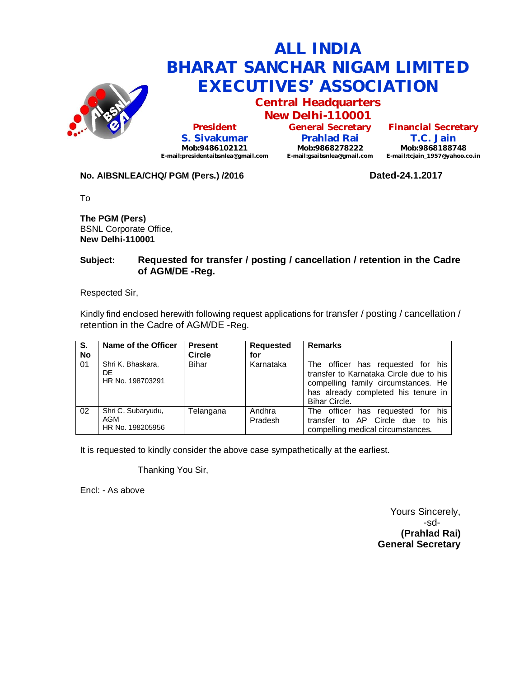

**Central Headquarters New Delhi-110001**

**President S. Sivakumar Mob:9486102121 E-mail:presidentaibsnlea@gmail.com**

**General Secretary Prahlad Rai Mob:9868278222 E-mail:gsaibsnlea@gmail.com**

**Financial Secretary T.C. Jain Mob:9868188748 E-mail:tcjain\_1957@yahoo.co.in**

### **No. AIBSNLEA/CHQ/ PGM (Pers.) /2016 Dated-24.1.2017**

To

**The PGM (Pers)** BSNL Corporate Office, **New Delhi-110001** 

### **Subject: Requested for transfer / posting / cancellation / retention in the Cadre of AGM/DE -Reg.**

Respected Sir,

Kindly find enclosed herewith following request applications for transfer / posting / cancellation / retention in the Cadre of AGM/DE -Reg.

| S.<br><b>No</b> | Name of the Officer                           | <b>Present</b><br><b>Circle</b> | <b>Requested</b><br>for | <b>Remarks</b>                                                                                                                                                              |
|-----------------|-----------------------------------------------|---------------------------------|-------------------------|-----------------------------------------------------------------------------------------------------------------------------------------------------------------------------|
| 01              | Shri K. Bhaskara,<br>DE<br>HR No. 198703291   | <b>Bihar</b>                    | Karnataka               | The officer has requested for his<br>transfer to Karnataka Circle due to his<br>compelling family circumstances. He<br>has already completed his tenure in<br>Bihar Circle. |
| 02              | Shri C. Subaryudu,<br>AGM<br>HR No. 198205956 | Telangana                       | Andhra<br>Pradesh       | his<br>The officer has requested for<br>transfer to AP Circle due to his<br>compelling medical circumstances.                                                               |

It is requested to kindly consider the above case sympathetically at the earliest.

Thanking You Sir,

Encl: - As above